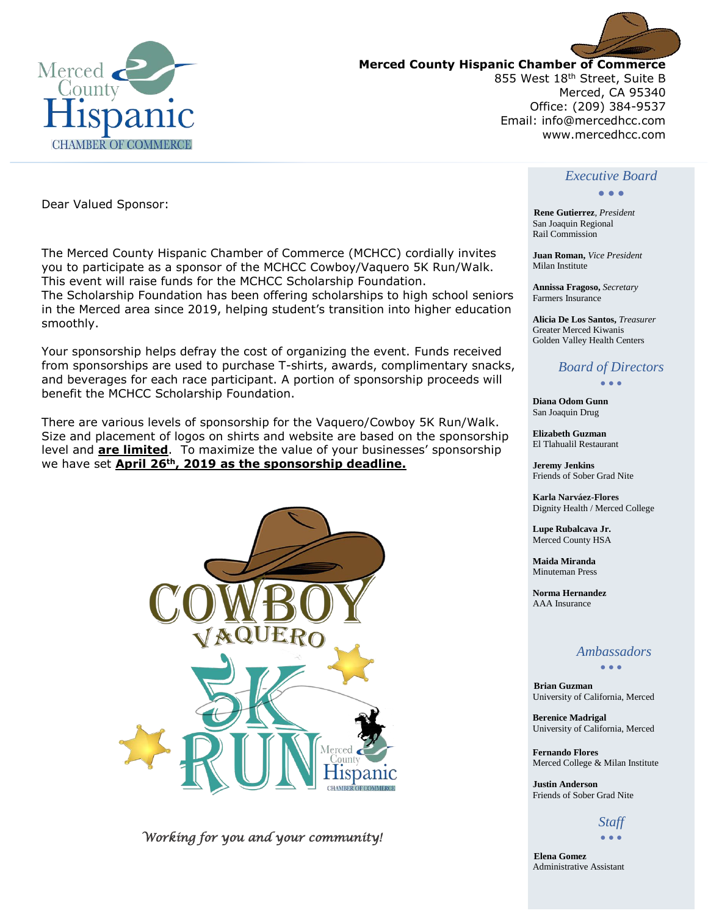



**Merced County Hispanic Chamber of Commerce**

855 West 18<sup>th</sup> Street, Suite B Merced, CA 95340 Office: (209) 384-9537 Email: info@mercedhcc.com www.mercedhcc.com

#### Dear Valued Sponsor:

The Merced County Hispanic Chamber of Commerce (MCHCC) cordially invites you to participate as a sponsor of the MCHCC Cowboy/Vaquero 5K Run/Walk. This event will raise funds for the MCHCC Scholarship Foundation. The Scholarship Foundation has been offering scholarships to high school seniors in the Merced area since 2019, helping student's transition into higher education smoothly.

Your sponsorship helps defray the cost of organizing the event. Funds received from sponsorships are used to purchase T-shirts, awards, complimentary snacks, and beverages for each race participant. A portion of sponsorship proceeds will benefit the MCHCC Scholarship Foundation.

There are various levels of sponsorship for the Vaquero/Cowboy 5K Run/Walk. Size and placement of logos on shirts and website are based on the sponsorship level and **are limited**. To maximize the value of your businesses' sponsorship we have set **April 26th, 2019 as the sponsorship deadline.**



 *Working for you and your community!* 

#### *Executive Board*

#### • • •

 **Rene Gutierrez**, *President* San Joaquin Regional Rail Commission

 **Juan Roman,** *Vice President* Milan Institute

 **Annissa Fragoso,** *Secretary* Farmers Insurance

 **Alicia De Los Santos,** *Treasurer* Greater Merced Kiwanis Golden Valley Health Centers

#### *Board of Directors* • • •

 **Diana Odom Gunn** San Joaquin Drug

 **Elizabeth Guzman**  El Tlahualil Restaurant

 **Jeremy Jenkins**  Friends of Sober Grad Nite

 **Karla Narváez-Flores** Dignity Health / Merced College

 **Lupe Rubalcava Jr.**  Merced County HSA

 **Maida Miranda**  Minuteman Press

 **Norma Hernandez**  AAA Insurance

#### *Ambassadors*

• • •

**Brian Guzman**  University of California, Merced

 **Berenice Madrigal**  University of California, Merced

 **Fernando Flores**  Merced College & Milan Institute

 **Justin Anderson**  Friends of Sober Grad Nite

#### *Staff*  • • •

 **Elena Gomez**  Administrative Assistant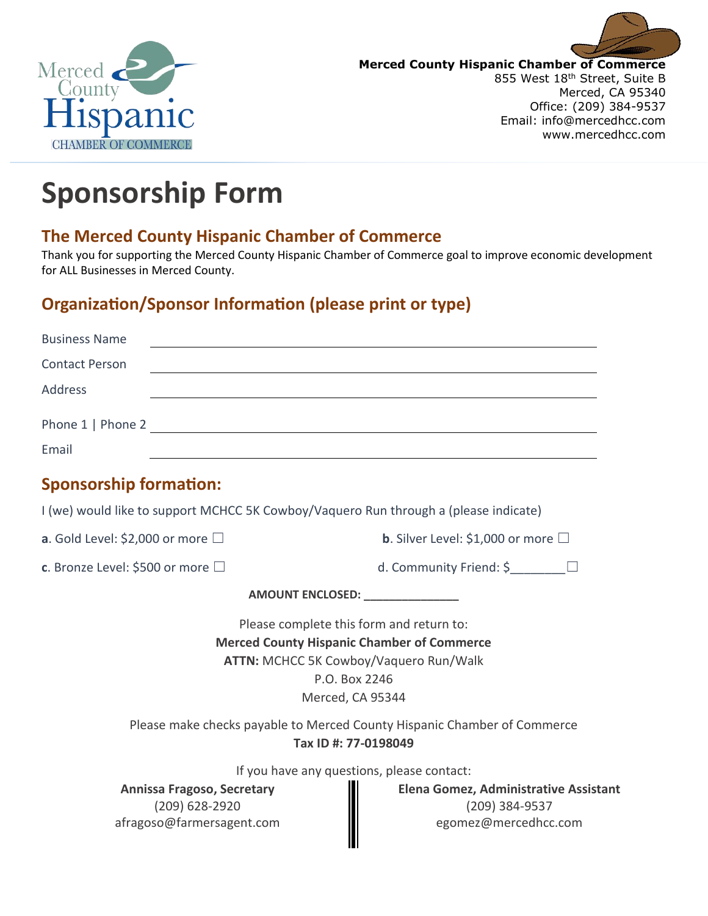



**Merced County Hispanic Chamber of Commerce** 855 West 18<sup>th</sup> Street, Suite B Merced, CA 95340 Office: (209) 384-9537 Email: info@mercedhcc.com www.mercedhcc.com

# **Sponsorship Form**

### **The Merced County Hispanic Chamber of Commerce**

Thank you for supporting the Merced County Hispanic Chamber of Commerce goal to improve economic development for ALL Businesses in Merced County.

## **Organization/Sponsor Information (please print or type)**

| <b>Business Name</b>                                                                 |                                                                          |
|--------------------------------------------------------------------------------------|--------------------------------------------------------------------------|
| <b>Contact Person</b>                                                                |                                                                          |
| <b>Address</b>                                                                       |                                                                          |
| Phone 1   Phone 2                                                                    |                                                                          |
| Email                                                                                |                                                                          |
| <b>Sponsorship formation:</b>                                                        |                                                                          |
| I (we) would like to support MCHCC 5K Cowboy/Vaquero Run through a (please indicate) |                                                                          |
| a. Gold Level: \$2,000 or more $\Box$                                                | <b>b.</b> Silver Level: \$1,000 or more $\Box$                           |
| c. Bronze Level: \$500 or more $\Box$                                                | d. Community Friend: \$_______                                           |
|                                                                                      |                                                                          |
|                                                                                      | Please complete this form and return to:                                 |
|                                                                                      | <b>Merced County Hispanic Chamber of Commerce</b>                        |
|                                                                                      | ATTN: MCHCC 5K Cowboy/Vaquero Run/Walk                                   |
|                                                                                      | P.O. Box 2246                                                            |
|                                                                                      | Merced, CA 95344                                                         |
|                                                                                      | Please make checks payable to Merced County Hispanic Chamber of Commerce |
|                                                                                      | Tax ID #: 77-0198049                                                     |
|                                                                                      | If you have any questions, please contact:                               |
| <b>Annissa Fragoso, Secretary</b>                                                    | Elena Gomez, Administrative Assistant                                    |
| (209) 628-2920                                                                       | (209) 384-9537                                                           |
| afragoso@farmersagent.com                                                            | egomez@mercedhcc.com                                                     |